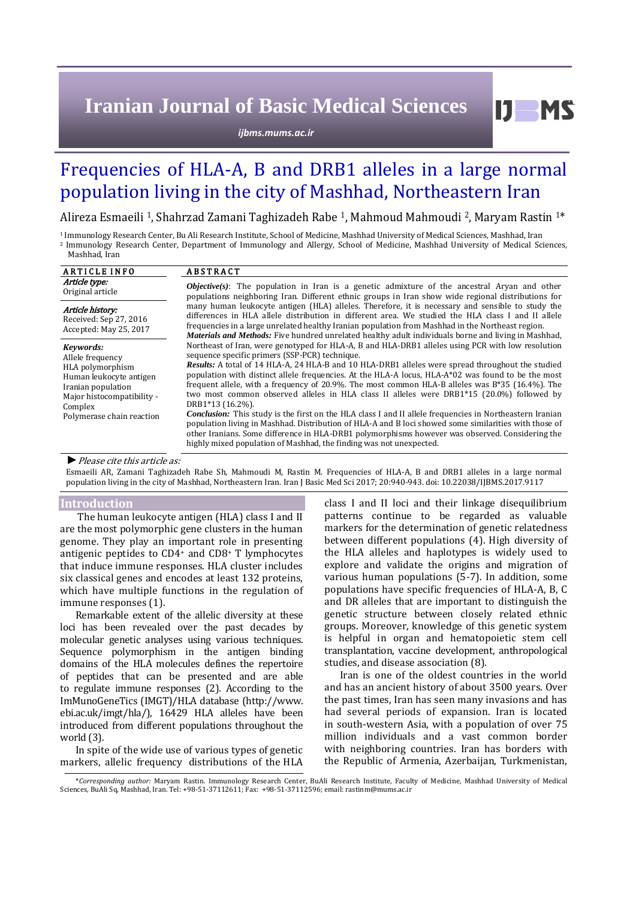# **Iranian Journal of Basic Medical Sciences**

*ijbms.mums.ac.ir*

## Frequencies of HLA-A, B and DRB1 alleles in a large normal population living in the city of Mashhad, Northeastern Iran

Alireza Esmaeili 1, Shahrzad Zamani Taghizadeh Rabe 1, Mahmoud Mahmoudi 2, Maryam Rastin 1\*

<sup>1</sup> Immunology Research Center, Bu Ali Research Institute, School of Medicine, Mashhad University of Medical Sciences, Mashhad, Iran <sup>2</sup>Immunology Research Center, Department of Immunology and Allergy, School of Medicine, Mashhad University of Medical Sciences, Mashhad, Iran

| <b>ARTICLE INFO</b>                                                                                                                                                      | <b>ABSTRACT</b>                                                                                                                                                                                                                                                                                                                                                                                                                                                                                                                                                                                                                                                                                                                                                                                                                                                                                                                                                                            |  |  |  |  |
|--------------------------------------------------------------------------------------------------------------------------------------------------------------------------|--------------------------------------------------------------------------------------------------------------------------------------------------------------------------------------------------------------------------------------------------------------------------------------------------------------------------------------------------------------------------------------------------------------------------------------------------------------------------------------------------------------------------------------------------------------------------------------------------------------------------------------------------------------------------------------------------------------------------------------------------------------------------------------------------------------------------------------------------------------------------------------------------------------------------------------------------------------------------------------------|--|--|--|--|
| Article type:<br>Original article                                                                                                                                        | <b><i>Objective(s)</i></b> : The population in Iran is a genetic admixture of the ancestral Aryan and other<br>populations neighboring Iran. Different ethnic groups in Iran show wide regional distributions for                                                                                                                                                                                                                                                                                                                                                                                                                                                                                                                                                                                                                                                                                                                                                                          |  |  |  |  |
| Article history:<br>Received: Sep 27, 2016<br>Accepted: May 25, 2017                                                                                                     | many human leukocyte antigen (HLA) alleles. Therefore, it is necessary and sensible to study the<br>differences in HLA allele distribution in different area. We studied the HLA class I and II allele<br>frequencies in a large unrelated healthy Iranian population from Mashhad in the Northeast region.<br><b>Materials and Methods:</b> Five hundred unrelated healthy adult individuals borne and living in Mashhad,                                                                                                                                                                                                                                                                                                                                                                                                                                                                                                                                                                 |  |  |  |  |
| Kevwords:<br>Allele frequency<br>HLA polymorphism<br>Human leukocyte antigen<br>Iranian population<br>Major histocompatibility -<br>Complex<br>Polymerase chain reaction | Northeast of Iran, were genotyped for HLA-A, B and HLA-DRB1 alleles using PCR with low resolution<br>sequence specific primers (SSP-PCR) technique.<br>Results: A total of 14 HLA-A, 24 HLA-B and 10 HLA-DRB1 alleles were spread throughout the studied<br>population with distinct allele frequencies. At the HLA-A locus, HLA-A*02 was found to be the most<br>frequent allele, with a frequency of 20.9%. The most common HLA-B alleles was $B*35$ (16.4%). The<br>two most common observed alleles in HLA class II alleles were DRB1*15 (20.0%) followed by<br>DRB1*13 (16.2%).<br><b>Conclusion:</b> This study is the first on the HLA class I and II allele frequencies in Northeastern Iranian<br>population living in Mashhad. Distribution of HLA-A and B loci showed some similarities with those of<br>other Iranians. Some difference in HLA-DRB1 polymorphisms however was observed. Considering the<br>highly mixed population of Mashhad, the finding was not unexpected. |  |  |  |  |
| $\bullet$ Dlagge cita this article as:                                                                                                                                   |                                                                                                                                                                                                                                                                                                                                                                                                                                                                                                                                                                                                                                                                                                                                                                                                                                                                                                                                                                                            |  |  |  |  |

*►*Please cite this article as:

Esmaeili AR, Zamani Taghizadeh Rabe Sh, Mahmoudi M, Rastin M. Frequencies of HLA-A, B and DRB1 alleles in a large normal population living in the city of Mashhad, Northeastern Iran. Iran J Basic Med Sci 2017; 20:940-943. doi: 10.22038/IJBMS.2017.9117

## **Introduction**

The human leukocyte antigen (HLA) class I and II are the most polymorphic gene clusters in the human genome. They play an important role in presenting antigenic peptides to CD4<sup>+</sup> and CD8<sup>+</sup> T lymphocytes that induce immune responses. HLA cluster includes six classical genes and encodes at least 132 proteins, which have multiple functions in the regulation of immune responses (1).

Remarkable extent of the allelic diversity at these loci has been revealed over the past decades by molecular genetic analyses using various techniques. Sequence polymorphism in the antigen binding domains of the HLA molecules defines the repertoire of peptides that can be presented and are able to regulate immune responses (2). According to the ImMunoGeneTics (IMGT)/HLA database [\(http://www.](http://www/)  ebi.ac.uk/imgt/hla/), 16429 HLA alleles have been introduced from different populations throughout the world (3).

In spite of the wide use of various types of genetic markers, allelic frequency distributions of the HLA class I and II loci and their linkage disequilibrium patterns continue to be regarded as valuable markers for the determination of genetic relatedness between different populations (4). High diversity of the HLA alleles and haplotypes is widely used to explore and validate the origins and migration of various human populations (5-7). In addition, some populations have specific frequencies of HLA-A, B, C and DR alleles that are important to distinguish the genetic structure between closely related ethnic groups. Moreover, knowledge of this genetic system is helpful in organ and hematopoietic stem cell transplantation, vaccine development, anthropological studies, and disease association (8).

Iran is one of the oldest countries in the world and has an ancient history of about 3500 years. Over the past times, Iran has seen many invasions and has had several periods of expansion. Iran is located in south-western Asia, with a population of over 75 million individuals and a vast common border with neighboring countries. Iran has borders with the Republic of Armenia, Azerbaijan, Turkmenistan,

<sup>\*</sup>*Corresponding author:* Maryam Rastin. Immunology Research Center, BuAli Research Institute, Faculty of Medicine, Mashhad University of Medical Sciences, BuAli Sq, Mashhad, Iran. Tel: +98-51-37112611; Fax: +98-51-37112596; email: rastinm@mums.ac.ir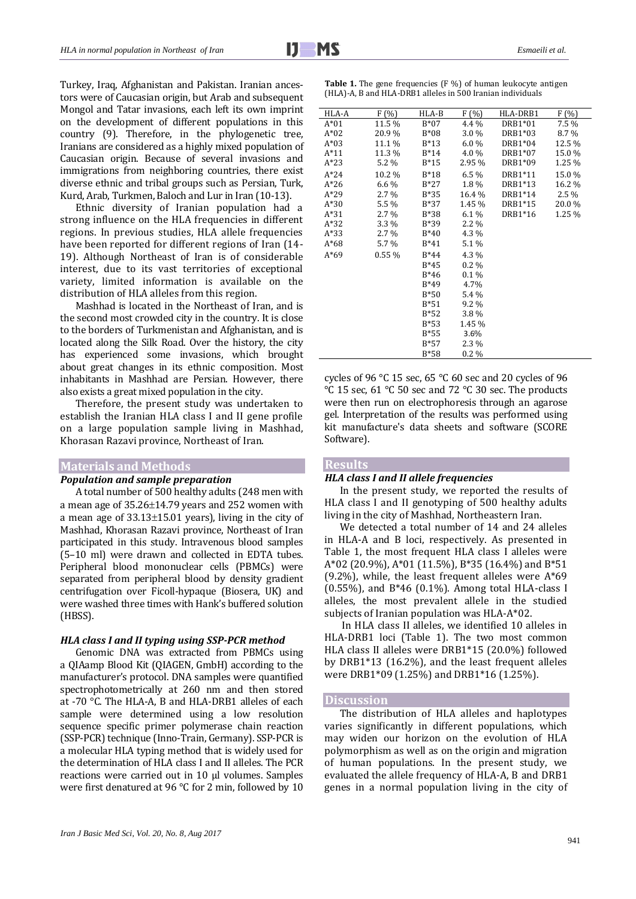Turkey, Iraq, Afghanistan and Pakistan. Iranian ancestors were of Caucasian origin, but Arab and subsequent Mongol and Tatar invasions, each left its own imprint on the development of different populations in this country (9). Therefore, in the phylogenetic tree, Iranians are considered as a highly mixed population of Caucasian origin. Because of several invasions and immigrations from neighboring countries, there exist diverse ethnic and tribal groups such as Persian, Turk, Kurd, Arab, Turkmen, Baloch and Lur in Iran (10-13).

Ethnic diversity of Iranian population had a strong influence on the HLA frequencies in different regions. In previous studies, HLA allele frequencies have been reported for different regions of Iran (14- 19). Although Northeast of Iran is of considerable interest, due to its vast territories of exceptional variety, limited information is available on the distribution of HLA alleles from this region.

Mashhad is located in the Northeast of Iran, and is the second most crowded city in the country. It is close to the borders of Turkmenistan and Afghanistan, and is located along the Silk Road. Over the history, the city has experienced some invasions, which brought about great changes in its ethnic composition. Most inhabitants in Mashhad are Persian. However, there also exists a great mixed population in the city.

Therefore, the present study was undertaken to establish the Iranian HLA class I and II gene profile on a large population sample living in Mashhad, Khorasan Razavi province, Northeast of Iran.

### **Materials and Methods**

## *Population and sample preparation*

A total number of 500 healthy adults (248 men with a mean age of  $35.26 \pm 14.79$  years and 252 women with a mean age of  $33.13\pm15.01$  years), living in the city of Mashhad, Khorasan Razavi province, Northeast of Iran participated in this study. Intravenous blood samples (5–10 ml) were drawn and collected in EDTA tubes. Peripheral blood mononuclear cells (PBMCs) were separated from peripheral blood by density gradient centrifugation over Ficoll-hypaque (Biosera, UK) and were washed three times with Hank's buffered solution (HBSS).

#### *HLA class I and II typing using SSP-PCR method*

Genomic DNA was extracted from PBMCs using a QIAamp Blood Kit (QIAGEN, GmbH) according to the manufacturer's protocol. DNA samples were quantified spectrophotometrically at 260 nm and then stored at -70 °C. The HLA-A, B and HLA-DRB1 alleles of each sample were determined using a low resolution sequence specific primer polymerase chain reaction (SSP-PCR) technique (Inno-Train, Germany). SSP-PCR is a molecular HLA typing method that is widely used for the determination of HLA class I and II alleles. The PCR reactions were carried out in 10 µl volumes. Samples were first denatured at 96 °C for 2 min, followed by 10

| HLA-A  | F(% )   | HLA-B  | F(% )   | HLA-DRB1 | F(%)    |
|--------|---------|--------|---------|----------|---------|
| $A*01$ | 11.5 %  | $B*07$ | 4.4 %   | DRB1*01  | 7.5 %   |
| $A*02$ | 20.9%   | B*08   | 3.0 %   | DRB1*03  | 8.7%    |
| $A*03$ | 11.1 %  | B*13   | $6.0\%$ | DRB1*04  | 12.5 %  |
| $A*11$ | 11.3 %  | $B*14$ | 4.0 %   | DRB1*07  | 15.0 %  |
| $A*23$ | 5.2 %   | B*15   | 2.95 %  | DRB1*09  | 1.25 %  |
| $A*24$ | 10.2%   | $B*18$ | 6.5%    | DRB1*11  | 15.0%   |
| $A*26$ | $6.6\%$ | $B*27$ | 1.8%    | DRB1*13  | 16.2%   |
| $A*29$ | $2.7\%$ | $B*35$ | 16.4 %  | DRB1*14  | $2.5\%$ |
| $A*30$ | 5.5 %   | B*37   | 1.45 %  | DRB1*15  | 20.0%   |
| $A*31$ | $2.7\%$ | B*38   | $6.1\%$ | DRB1*16  | 1.25 %  |
| $A*32$ | 3.3 %   | B*39   | $2.2\%$ |          |         |
| $A*33$ | $2.7\%$ | $B*40$ | 4.3 %   |          |         |
| $A*68$ | 5.7 %   | $B*41$ | 5.1 %   |          |         |
| $A*69$ | 0.55%   | $B*44$ | 4.3 %   |          |         |
|        |         | $B*45$ | $0.2\%$ |          |         |
|        |         | $B*46$ | $0.1\%$ |          |         |
|        |         | B*49   | 4.7%    |          |         |
|        |         | $B*50$ | 5.4 %   |          |         |
|        |         | $B*51$ | 9.2 %   |          |         |
|        |         | B*52   | 3.8%    |          |         |
|        |         | $B*53$ | 1.45 %  |          |         |
|        |         | B*55   | 3.6%    |          |         |
|        |         | $B*57$ | 2.3 %   |          |         |
|        |         | $B*58$ | $0.2\%$ |          |         |

Table 1. The gene frequencies (F %) of human leukocyte antigen (HLA)-A, B and HLA-DRB1 alleles in 500 Iranian individuals

cycles of 96 °C 15 sec, 65 °C 60 sec and 20 cycles of 96 °C 15 sec, 61 °C 50 sec and 72 °C 30 sec. The products were then run on electrophoresis through an agarose gel. Interpretation of the results was performed using kit manufacture's data sheets and software (SCORE Software).

#### **Results**

### *HLA class I and II allele frequencies*

In the present study, we reported the results of HLA class I and II genotyping of 500 healthy adults living in the city of Mashhad, Northeastern Iran.

We detected a total number of 14 and 24 alleles in HLA-A and B loci, respectively. As presented in Table 1, the most frequent HLA class I alleles were A\*02 (20.9%), A\*01 (11.5%), B\*35 (16.4%) and B\*51 (9.2%), while, the least frequent alleles were A\*69 (0.55%), and B\*46 (0.1%). Among total HLA-class I alleles, the most prevalent allele in the studied subjects of Iranian population was HLA-A\*02.

In HLA class II alleles, we identified 10 alleles in HLA-DRB1 loci (Table 1). The two most common HLA class II alleles were DRB1\*15 (20.0%) followed by DRB1\*13 (16.2%), and the least frequent alleles were DRB1\*09 (1.25%) and DRB1\*16 (1.25%).

## **Discussion**

The distribution of HLA alleles and haplotypes varies significantly in different populations, which may widen our horizon on the evolution of HLA polymorphism as well as on the origin and migration of human populations. In the present study, we evaluated the allele frequency of HLA-A, B and DRB1 genes in a normal population living in the city of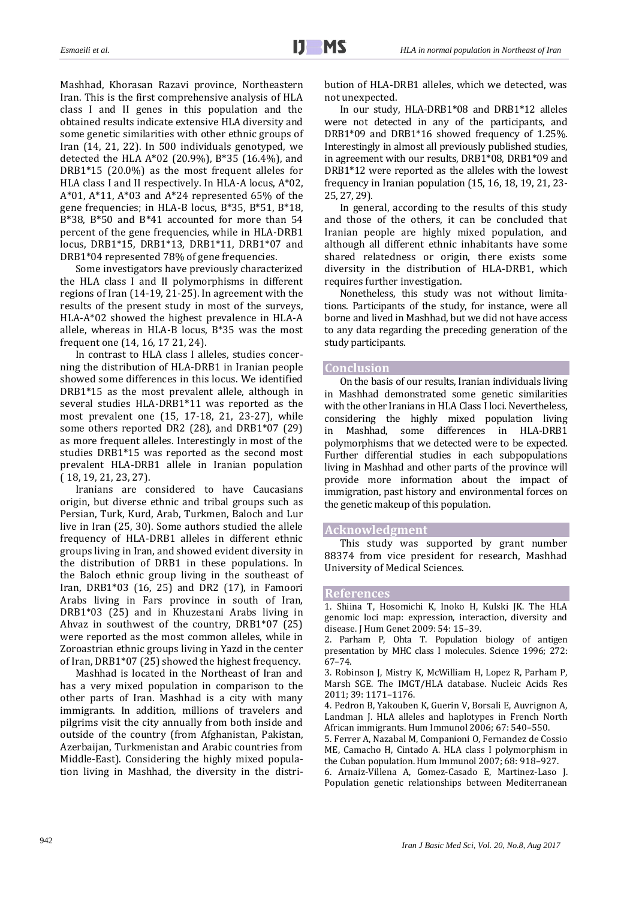Mashhad, Khorasan Razavi province, Northeastern Iran. This is the first comprehensive analysis of HLA class I and II genes in this population and the obtained results indicate extensive HLA diversity and some genetic similarities with other ethnic groups of Iran (14, 21, 22). In 500 individuals genotyped, we detected the HLA A\*02 (20.9%), B\*35 (16.4%), and DRB1\*15 (20.0%) as the most frequent alleles for HLA class I and II respectively. In HLA-A locus, A\*02, A\*01, A\*11, A\*03 and A\*24 represented 65% of the gene frequencies; in HLA-B locus, B\*35, B\*51, B\*18, B\*38, B\*50 and B\*41 accounted for more than 54 percent of the gene frequencies, while in HLA-DRB1 locus, DRB1\*15, DRB1\*13, DRB1\*11, DRB1\*07 and DRB1\*04 represented 78% of gene frequencies.

Some investigators have previously characterized the HLA class I and II polymorphisms in different regions of Iran (14-19, 21-25). In agreement with the results of the present study in most of the surveys, HLA-A\*02 showed the highest prevalence in HLA-A allele, whereas in HLA-B locus, B\*35 was the most frequent one (14, 16, 17 21, 24).

In contrast to HLA class I alleles, studies concerning the distribution of HLA-DRB1 in Iranian people showed some differences in this locus. We identified DRB1\*15 as the most prevalent allele, although in several studies HLA-DRB1\*11 was reported as the most prevalent one (15, 17-18, 21, 23-27), while some others reported DR2 (28), and DRB1\*07 (29) as more frequent alleles. Interestingly in most of the studies DRB1\*15 was reported as the second most prevalent HLA-DRB1 allele in Iranian population ( 18, 19, 21, 23, 27).

Iranians are considered to have Caucasians origin, but diverse ethnic and tribal groups such as Persian, Turk, Kurd, Arab, Turkmen, Baloch and Lur live in Iran (25, 30). Some authors studied the allele frequency of HLA-DRB1 alleles in different ethnic groups living in Iran, and showed evident diversity in the distribution of DRB1 in these populations. In the Baloch ethnic group living in the southeast of Iran, DRB1\*03 (16, 25) and DR2 (17), in Famoori Arabs living in Fars province in south of Iran, DRB1\*03 (25) and in Khuzestani Arabs living in Ahvaz in southwest of the country, DRB1\*07 (25) were reported as the most common alleles, while in Zoroastrian ethnic groups living in Yazd in the center of Iran, DRB1\*07 (25) showed the highest frequency.

Mashhad is located in the Northeast of Iran and has a very mixed population in comparison to the other parts of Iran. Mashhad is a city with many immigrants. In addition, millions of travelers and pilgrims visit the city annually from both inside and outside of the country (from Afghanistan, Pakistan, Azerbaijan, Turkmenistan and Arabic countries from Middle-East). Considering the highly mixed population living in Mashhad, the diversity in the distribution of HLA-DRB1 alleles, which we detected, was not unexpected.

In our study, HLA-DRB1\*08 and DRB1\*12 alleles were not detected in any of the participants, and DRB1\*09 and DRB1\*16 showed frequency of 1.25%. Interestingly in almost all previously published studies, in agreement with our results, DRB1\*08, DRB1\*09 and DRB1\*12 were reported as the alleles with the lowest frequency in Iranian population (15, 16, 18, 19, 21, 23- 25, 27, 29).

In general, according to the results of this study and those of the others, it can be concluded that Iranian people are highly mixed population, and although all different ethnic inhabitants have some shared relatedness or origin, there exists some diversity in the distribution of HLA-DRB1, which requires further investigation.

Nonetheless, this study was not without limitations. Participants of the study, for instance, were all borne and lived in Mashhad, but we did not have access to any data regarding the preceding generation of the study participants.

#### **Conclusion**

On the basis of our results, Iranian individuals living in Mashhad demonstrated some genetic similarities with the other Iranians in HLA Class I loci. Nevertheless, considering the highly mixed population living in Mashhad, some differences in HLA-DRB1 polymorphisms that we detected were to be expected. Further differential studies in each subpopulations living in Mashhad and other parts of the province will provide more information about the impact of immigration, past history and environmental forces on the genetic makeup of this population.

#### **Acknowledgment**

This study was supported by grant number 88374 from vice president for research, Mashhad University of Medical Sciences.

#### **References**

1. Shiina T, Hosomichi K, Inoko H, Kulski JK. The HLA genomic loci map: expression, interaction, diversity and disease. J Hum Genet 2009: 54: 15–39.

2. Parham P, Ohta T. Population biology of antigen presentation by MHC class I molecules. Science 1996; 272: 67–74.

3. Robinson J, Mistry K, McWilliam H, Lopez R, Parham P, Marsh SGE. The IMGT/HLA database. Nucleic Acids Res 2011; 39: 1171–1176.

4. Pedron B, Yakouben K, Guerin V, Borsali E, Auvrignon A, Landman J. HLA alleles and haplotypes in French North African immigrants. Hum Immunol 2006; 67: 540–550.

5. Ferrer A, Nazabal M, Companioni O, Fernandez de Cossio ME, Camacho H, Cintado A. HLA class I polymorphism in the Cuban population. Hum Immunol 2007; 68: 918–927.

6. Arnaiz-Villena A, Gomez-Casado E, Martinez-Laso J. Population genetic relationships between Mediterranean